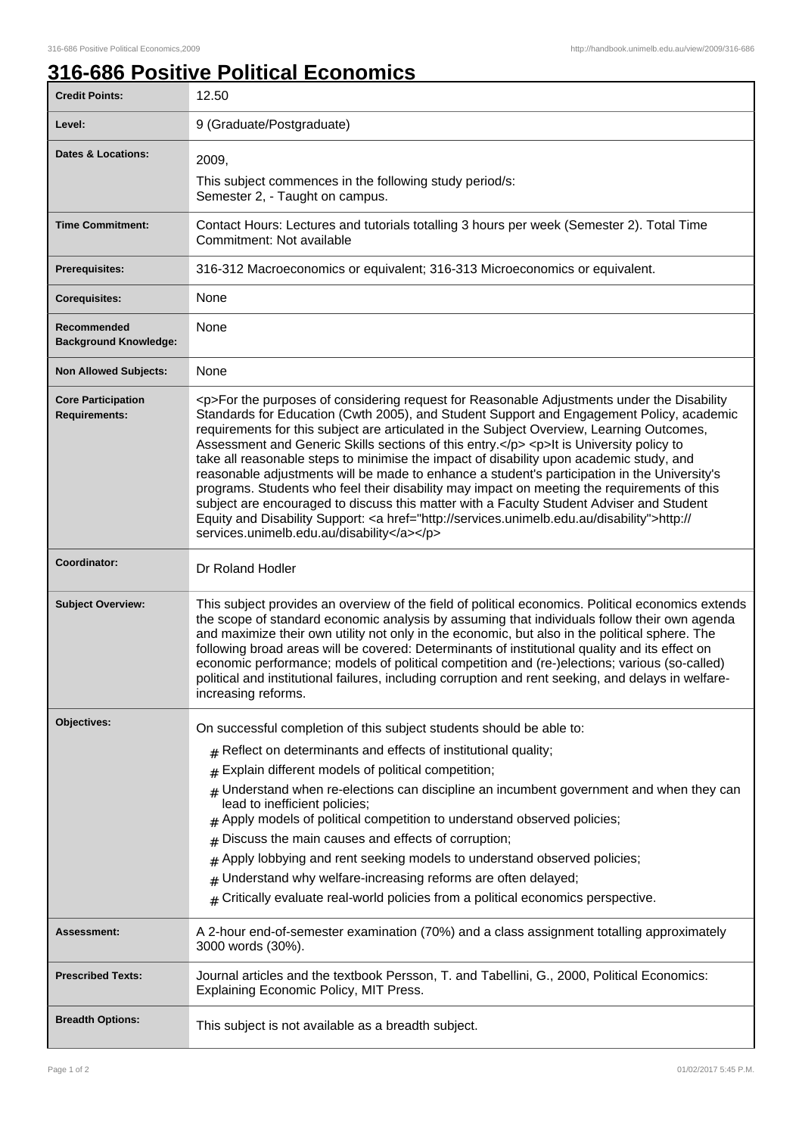## **316-686 Positive Political Economics**

| <b>Credit Points:</b>                             | 12.50                                                                                                                                                                                                                                                                                                                                                                                                                                                                                                                                                                                                                                                                                                                                                                                                                                                                                                                        |
|---------------------------------------------------|------------------------------------------------------------------------------------------------------------------------------------------------------------------------------------------------------------------------------------------------------------------------------------------------------------------------------------------------------------------------------------------------------------------------------------------------------------------------------------------------------------------------------------------------------------------------------------------------------------------------------------------------------------------------------------------------------------------------------------------------------------------------------------------------------------------------------------------------------------------------------------------------------------------------------|
| Level:                                            | 9 (Graduate/Postgraduate)                                                                                                                                                                                                                                                                                                                                                                                                                                                                                                                                                                                                                                                                                                                                                                                                                                                                                                    |
| <b>Dates &amp; Locations:</b>                     | 2009,                                                                                                                                                                                                                                                                                                                                                                                                                                                                                                                                                                                                                                                                                                                                                                                                                                                                                                                        |
|                                                   | This subject commences in the following study period/s:<br>Semester 2, - Taught on campus.                                                                                                                                                                                                                                                                                                                                                                                                                                                                                                                                                                                                                                                                                                                                                                                                                                   |
| <b>Time Commitment:</b>                           | Contact Hours: Lectures and tutorials totalling 3 hours per week (Semester 2). Total Time<br>Commitment: Not available                                                                                                                                                                                                                                                                                                                                                                                                                                                                                                                                                                                                                                                                                                                                                                                                       |
| Prerequisites:                                    | 316-312 Macroeconomics or equivalent; 316-313 Microeconomics or equivalent.                                                                                                                                                                                                                                                                                                                                                                                                                                                                                                                                                                                                                                                                                                                                                                                                                                                  |
| <b>Corequisites:</b>                              | None                                                                                                                                                                                                                                                                                                                                                                                                                                                                                                                                                                                                                                                                                                                                                                                                                                                                                                                         |
| Recommended<br><b>Background Knowledge:</b>       | None                                                                                                                                                                                                                                                                                                                                                                                                                                                                                                                                                                                                                                                                                                                                                                                                                                                                                                                         |
| <b>Non Allowed Subjects:</b>                      | None                                                                                                                                                                                                                                                                                                                                                                                                                                                                                                                                                                                                                                                                                                                                                                                                                                                                                                                         |
| <b>Core Participation</b><br><b>Requirements:</b> | <p>For the purposes of considering request for Reasonable Adjustments under the Disability<br/>Standards for Education (Cwth 2005), and Student Support and Engagement Policy, academic<br/>requirements for this subject are articulated in the Subject Overview, Learning Outcomes,<br/>Assessment and Generic Skills sections of this entry.</p> <p>It is University policy to<br/>take all reasonable steps to minimise the impact of disability upon academic study, and<br/>reasonable adjustments will be made to enhance a student's participation in the University's<br/>programs. Students who feel their disability may impact on meeting the requirements of this<br/>subject are encouraged to discuss this matter with a Faculty Student Adviser and Student<br/>Equity and Disability Support: &lt; a href="http://services.unimelb.edu.au/disability"&gt;http://<br/>services.unimelb.edu.au/disability</p> |
| Coordinator:                                      | Dr Roland Hodler                                                                                                                                                                                                                                                                                                                                                                                                                                                                                                                                                                                                                                                                                                                                                                                                                                                                                                             |
| <b>Subject Overview:</b>                          | This subject provides an overview of the field of political economics. Political economics extends<br>the scope of standard economic analysis by assuming that individuals follow their own agenda<br>and maximize their own utility not only in the economic, but also in the political sphere. The<br>following broad areas will be covered: Determinants of institutional quality and its effect on<br>economic performance; models of political competition and (re-)elections; various (so-called)<br>political and institutional failures, including corruption and rent seeking, and delays in welfare-<br>increasing reforms.                                                                                                                                                                                                                                                                                        |
| <b>Objectives:</b>                                | On successful completion of this subject students should be able to:                                                                                                                                                                                                                                                                                                                                                                                                                                                                                                                                                                                                                                                                                                                                                                                                                                                         |
|                                                   | $#$ Reflect on determinants and effects of institutional quality;                                                                                                                                                                                                                                                                                                                                                                                                                                                                                                                                                                                                                                                                                                                                                                                                                                                            |
|                                                   | Explain different models of political competition;<br>#                                                                                                                                                                                                                                                                                                                                                                                                                                                                                                                                                                                                                                                                                                                                                                                                                                                                      |
|                                                   | Understand when re-elections can discipline an incumbent government and when they can<br>#<br>lead to inefficient policies;<br>Apply models of political competition to understand observed policies;<br>Discuss the main causes and effects of corruption;<br>#<br>Apply lobbying and rent seeking models to understand observed policies;<br>#<br>Understand why welfare-increasing reforms are often delayed;<br>#<br>Critically evaluate real-world policies from a political economics perspective.<br>#                                                                                                                                                                                                                                                                                                                                                                                                                |
|                                                   |                                                                                                                                                                                                                                                                                                                                                                                                                                                                                                                                                                                                                                                                                                                                                                                                                                                                                                                              |
| Assessment:                                       | A 2-hour end-of-semester examination (70%) and a class assignment totalling approximately<br>3000 words (30%).                                                                                                                                                                                                                                                                                                                                                                                                                                                                                                                                                                                                                                                                                                                                                                                                               |
| <b>Prescribed Texts:</b>                          | Journal articles and the textbook Persson, T. and Tabellini, G., 2000, Political Economics:<br>Explaining Economic Policy, MIT Press.                                                                                                                                                                                                                                                                                                                                                                                                                                                                                                                                                                                                                                                                                                                                                                                        |
| <b>Breadth Options:</b>                           | This subject is not available as a breadth subject.                                                                                                                                                                                                                                                                                                                                                                                                                                                                                                                                                                                                                                                                                                                                                                                                                                                                          |